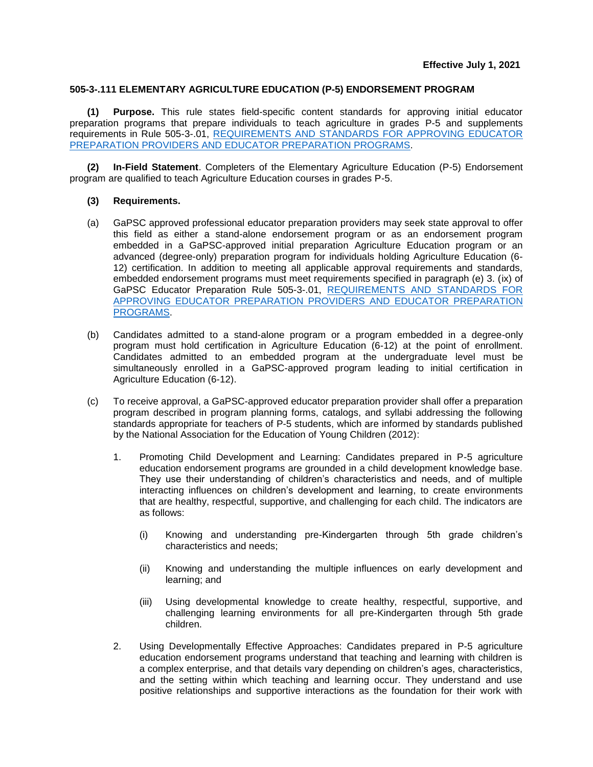## **505-3-.111 ELEMENTARY AGRICULTURE EDUCATION (P-5) ENDORSEMENT PROGRAM**

**(1) Purpose.** This rule states field-specific content standards for approving initial educator preparation programs that prepare individuals to teach agriculture in grades P-5 and supplements requirements in Rule 505-3-.01, [REQUIREMENTS AND STANDARDS FOR APPROVING EDUCATOR](https://www.gapsc.com/Rules/Current/EducatorPreparation/505-3-.01.pdf?dt=%3C%25#Eval()  [PREPARATION PROVIDERS AND EDUCATOR PREPARATION PROGRAMS.](https://www.gapsc.com/Rules/Current/EducatorPreparation/505-3-.01.pdf?dt=%3C%25#Eval()

**(2) In-Field Statement**. Completers of the Elementary Agriculture Education (P-5) Endorsement program are qualified to teach Agriculture Education courses in grades P-5.

## **(3) Requirements.**

- (a) GaPSC approved professional educator preparation providers may seek state approval to offer this field as either a stand-alone endorsement program or as an endorsement program embedded in a GaPSC-approved initial preparation Agriculture Education program or an advanced (degree-only) preparation program for individuals holding Agriculture Education (6- 12) certification. In addition to meeting all applicable approval requirements and standards, embedded endorsement programs must meet requirements specified in paragraph (e) 3. (ix) of GaPSC Educator Preparation Rule 505-3-.01, [REQUIREMENTS AND STANDARDS FOR](https://www.gapsc.com/Rules/Current/EducatorPreparation/505-3-.01.pdf?dt=%3C%25#Eval()  [APPROVING EDUCATOR PREPARATION PROVIDERS AND EDUCATOR PREPARATION](https://www.gapsc.com/Rules/Current/EducatorPreparation/505-3-.01.pdf?dt=%3C%25#Eval()  [PROGRAMS.](https://www.gapsc.com/Rules/Current/EducatorPreparation/505-3-.01.pdf?dt=%3C%25#Eval()
- (b) Candidates admitted to a stand-alone program or a program embedded in a degree-only program must hold certification in Agriculture Education (6-12) at the point of enrollment. Candidates admitted to an embedded program at the undergraduate level must be simultaneously enrolled in a GaPSC-approved program leading to initial certification in Agriculture Education (6-12).
- (c) To receive approval, a GaPSC-approved educator preparation provider shall offer a preparation program described in program planning forms, catalogs, and syllabi addressing the following standards appropriate for teachers of P-5 students, which are informed by standards published by the National Association for the Education of Young Children (2012):
	- 1. Promoting Child Development and Learning: Candidates prepared in P-5 agriculture education endorsement programs are grounded in a child development knowledge base. They use their understanding of children's characteristics and needs, and of multiple interacting influences on children's development and learning, to create environments that are healthy, respectful, supportive, and challenging for each child. The indicators are as follows:
		- (i) Knowing and understanding pre-Kindergarten through 5th grade children's characteristics and needs;
		- (ii) Knowing and understanding the multiple influences on early development and learning; and
		- (iii) Using developmental knowledge to create healthy, respectful, supportive, and challenging learning environments for all pre-Kindergarten through 5th grade children.
	- 2. Using Developmentally Effective Approaches: Candidates prepared in P-5 agriculture education endorsement programs understand that teaching and learning with children is a complex enterprise, and that details vary depending on children's ages, characteristics, and the setting within which teaching and learning occur. They understand and use positive relationships and supportive interactions as the foundation for their work with